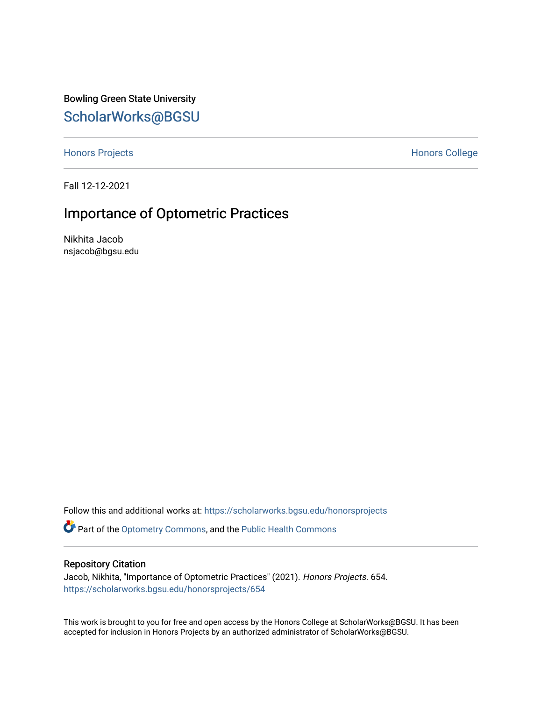Bowling Green State University [ScholarWorks@BGSU](https://scholarworks.bgsu.edu/) 

[Honors Projects](https://scholarworks.bgsu.edu/honorsprojects) **Honors** College

Fall 12-12-2021

# Importance of Optometric Practices

Nikhita Jacob nsjacob@bgsu.edu

Follow this and additional works at: [https://scholarworks.bgsu.edu/honorsprojects](https://scholarworks.bgsu.edu/honorsprojects?utm_source=scholarworks.bgsu.edu%2Fhonorsprojects%2F654&utm_medium=PDF&utm_campaign=PDFCoverPages)  **P** Part of the [Optometry Commons,](http://network.bepress.com/hgg/discipline/730?utm_source=scholarworks.bgsu.edu%2Fhonorsprojects%2F654&utm_medium=PDF&utm_campaign=PDFCoverPages) and the [Public Health Commons](http://network.bepress.com/hgg/discipline/738?utm_source=scholarworks.bgsu.edu%2Fhonorsprojects%2F654&utm_medium=PDF&utm_campaign=PDFCoverPages)

# Repository Citation

Jacob, Nikhita, "Importance of Optometric Practices" (2021). Honors Projects. 654. [https://scholarworks.bgsu.edu/honorsprojects/654](https://scholarworks.bgsu.edu/honorsprojects/654?utm_source=scholarworks.bgsu.edu%2Fhonorsprojects%2F654&utm_medium=PDF&utm_campaign=PDFCoverPages) 

This work is brought to you for free and open access by the Honors College at ScholarWorks@BGSU. It has been accepted for inclusion in Honors Projects by an authorized administrator of ScholarWorks@BGSU.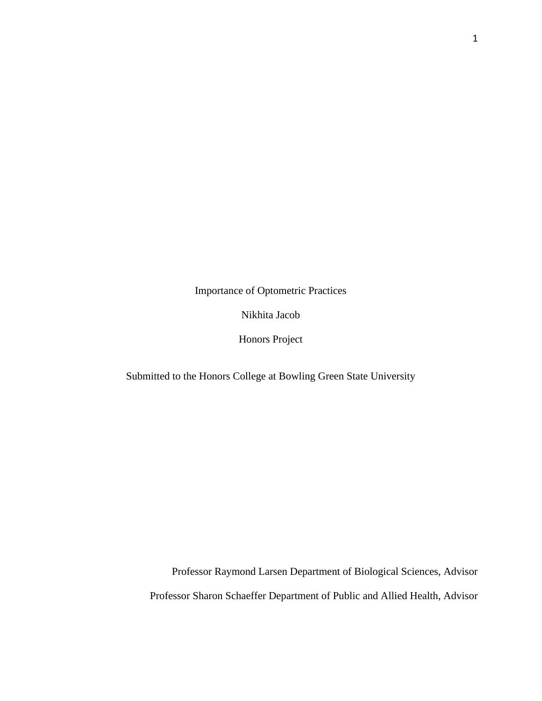Importance of Optometric Practices

Nikhita Jacob

Honors Project

Submitted to the Honors College at Bowling Green State University

Professor Raymond Larsen Department of Biological Sciences, Advisor Professor Sharon Schaeffer Department of Public and Allied Health, Advisor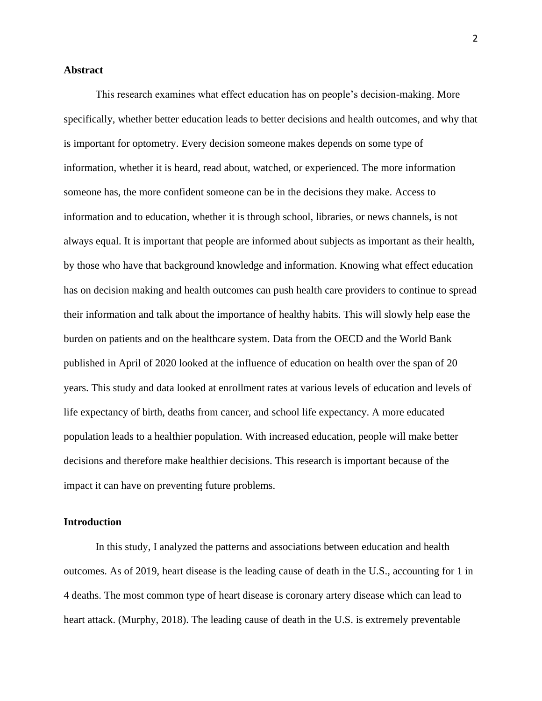## **Abstract**

This research examines what effect education has on people's decision-making. More specifically, whether better education leads to better decisions and health outcomes, and why that is important for optometry. Every decision someone makes depends on some type of information, whether it is heard, read about, watched, or experienced. The more information someone has, the more confident someone can be in the decisions they make. Access to information and to education, whether it is through school, libraries, or news channels, is not always equal. It is important that people are informed about subjects as important as their health, by those who have that background knowledge and information. Knowing what effect education has on decision making and health outcomes can push health care providers to continue to spread their information and talk about the importance of healthy habits. This will slowly help ease the burden on patients and on the healthcare system. Data from the OECD and the World Bank published in April of 2020 looked at the influence of education on health over the span of 20 years. This study and data looked at enrollment rates at various levels of education and levels of life expectancy of birth, deaths from cancer, and school life expectancy. A more educated population leads to a healthier population. With increased education, people will make better decisions and therefore make healthier decisions. This research is important because of the impact it can have on preventing future problems.

#### **Introduction**

In this study, I analyzed the patterns and associations between education and health outcomes. As of 2019, heart disease is the leading cause of death in the U.S., accounting for 1 in 4 deaths. The most common type of heart disease is coronary artery disease which can lead to heart attack. (Murphy, 2018). The leading cause of death in the U.S. is extremely preventable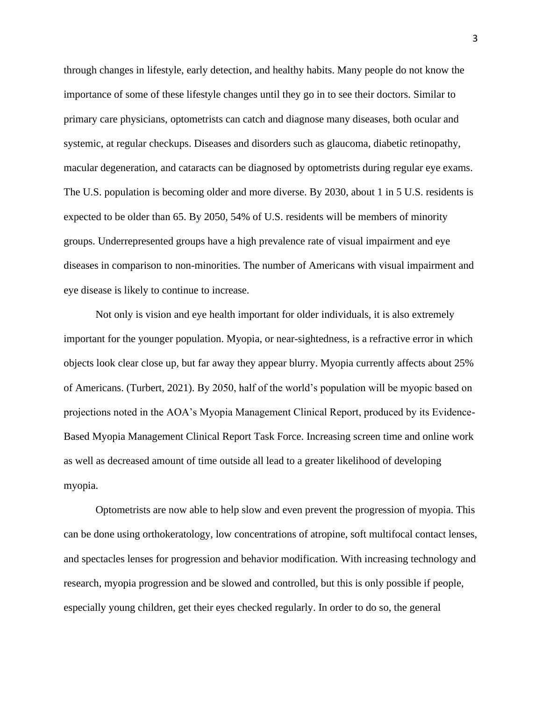through changes in lifestyle, early detection, and healthy habits. Many people do not know the importance of some of these lifestyle changes until they go in to see their doctors. Similar to primary care physicians, optometrists can catch and diagnose many diseases, both ocular and systemic, at regular checkups. Diseases and disorders such as glaucoma, diabetic retinopathy, macular degeneration, and cataracts can be diagnosed by optometrists during regular eye exams. The U.S. population is becoming older and more diverse. By 2030, about 1 in 5 U.S. residents is expected to be older than 65. By 2050, 54% of U.S. residents will be members of minority groups. Underrepresented groups have a high prevalence rate of visual impairment and eye diseases in comparison to non-minorities. The number of Americans with visual impairment and eye disease is likely to continue to increase.

Not only is vision and eye health important for older individuals, it is also extremely important for the younger population. Myopia, or near-sightedness, is a refractive error in which objects look clear close up, but far away they appear blurry. Myopia currently affects about 25% of Americans. (Turbert, 2021). By 2050, half of the world's population will be myopic based on projections noted in the AOA's Myopia Management Clinical Report, produced by its Evidence-Based Myopia Management Clinical Report Task Force. Increasing screen time and online work as well as decreased amount of time outside all lead to a greater likelihood of developing myopia.

Optometrists are now able to help slow and even prevent the progression of myopia. This can be done using orthokeratology, low concentrations of atropine, soft multifocal contact lenses, and spectacles lenses for progression and behavior modification. With increasing technology and research, myopia progression and be slowed and controlled, but this is only possible if people, especially young children, get their eyes checked regularly. In order to do so, the general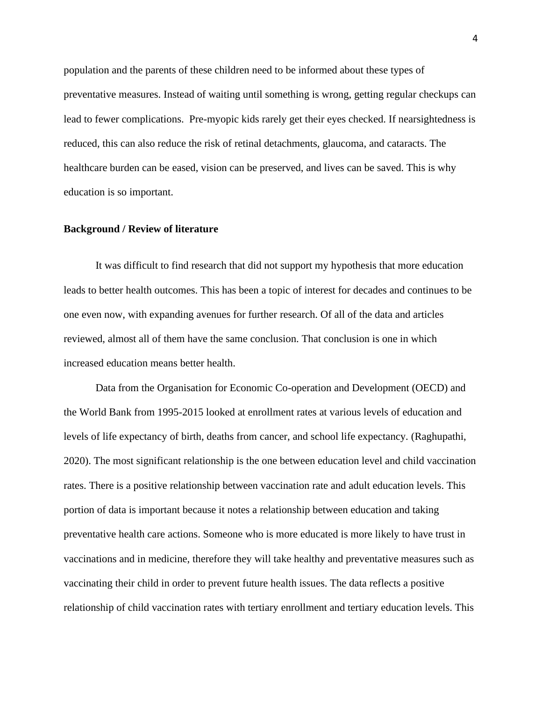population and the parents of these children need to be informed about these types of preventative measures. Instead of waiting until something is wrong, getting regular checkups can lead to fewer complications. Pre-myopic kids rarely get their eyes checked. If nearsightedness is reduced, this can also reduce the risk of retinal detachments, glaucoma, and cataracts. The healthcare burden can be eased, vision can be preserved, and lives can be saved. This is why education is so important.

## **Background / Review of literature**

It was difficult to find research that did not support my hypothesis that more education leads to better health outcomes. This has been a topic of interest for decades and continues to be one even now, with expanding avenues for further research. Of all of the data and articles reviewed, almost all of them have the same conclusion. That conclusion is one in which increased education means better health.

Data from the Organisation for Economic Co-operation and Development (OECD) and the World Bank from 1995-2015 looked at enrollment rates at various levels of education and levels of life expectancy of birth, deaths from cancer, and school life expectancy. (Raghupathi, 2020). The most significant relationship is the one between education level and child vaccination rates. There is a positive relationship between vaccination rate and adult education levels. This portion of data is important because it notes a relationship between education and taking preventative health care actions. Someone who is more educated is more likely to have trust in vaccinations and in medicine, therefore they will take healthy and preventative measures such as vaccinating their child in order to prevent future health issues. The data reflects a positive relationship of child vaccination rates with tertiary enrollment and tertiary education levels. This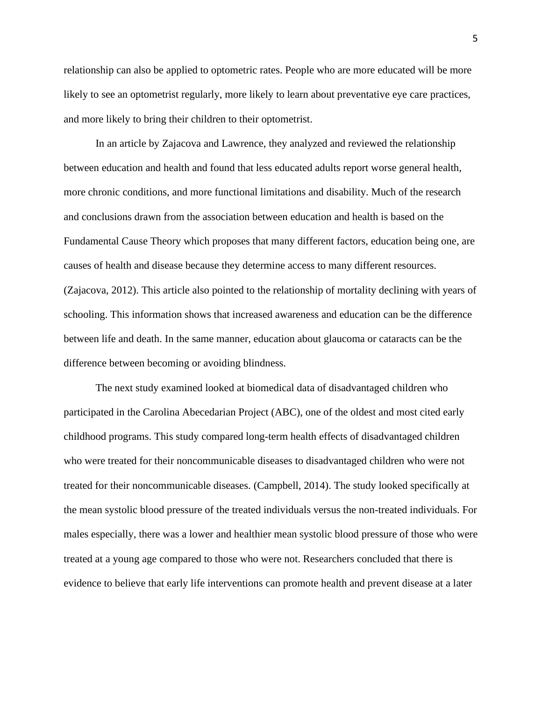relationship can also be applied to optometric rates. People who are more educated will be more likely to see an optometrist regularly, more likely to learn about preventative eye care practices, and more likely to bring their children to their optometrist.

In an article by Zajacova and Lawrence, they analyzed and reviewed the relationship between education and health and found that less educated adults report worse general health, more chronic conditions, and more functional limitations and disability. Much of the research and conclusions drawn from the association between education and health is based on the Fundamental Cause Theory which proposes that many different factors, education being one, are causes of health and disease because they determine access to many different resources. (Zajacova, 2012). This article also pointed to the relationship of mortality declining with years of schooling. This information shows that increased awareness and education can be the difference between life and death. In the same manner, education about glaucoma or cataracts can be the difference between becoming or avoiding blindness.

The next study examined looked at biomedical data of disadvantaged children who participated in the Carolina Abecedarian Project (ABC), one of the oldest and most cited early childhood programs. This study compared long-term health effects of disadvantaged children who were treated for their noncommunicable diseases to disadvantaged children who were not treated for their noncommunicable diseases. (Campbell, 2014). The study looked specifically at the mean systolic blood pressure of the treated individuals versus the non-treated individuals. For males especially, there was a lower and healthier mean systolic blood pressure of those who were treated at a young age compared to those who were not. Researchers concluded that there is evidence to believe that early life interventions can promote health and prevent disease at a later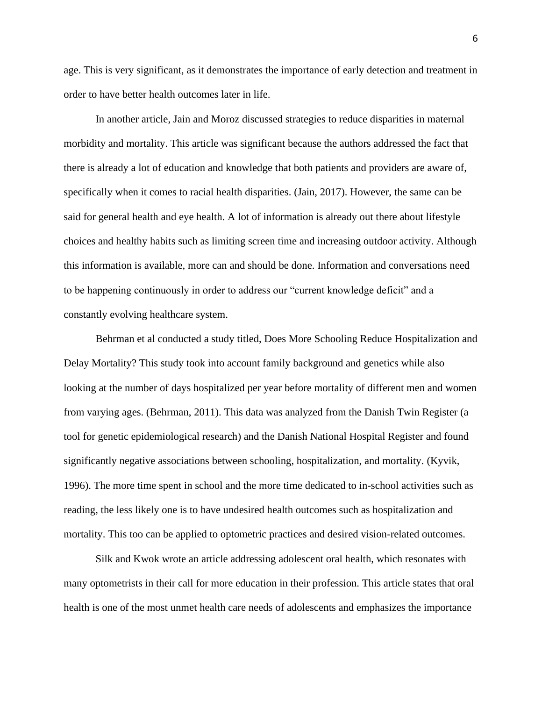age. This is very significant, as it demonstrates the importance of early detection and treatment in order to have better health outcomes later in life.

In another article, Jain and Moroz discussed strategies to reduce disparities in maternal morbidity and mortality. This article was significant because the authors addressed the fact that there is already a lot of education and knowledge that both patients and providers are aware of, specifically when it comes to racial health disparities. (Jain, 2017). However, the same can be said for general health and eye health. A lot of information is already out there about lifestyle choices and healthy habits such as limiting screen time and increasing outdoor activity. Although this information is available, more can and should be done. Information and conversations need to be happening continuously in order to address our "current knowledge deficit" and a constantly evolving healthcare system.

Behrman et al conducted a study titled, Does More Schooling Reduce Hospitalization and Delay Mortality? This study took into account family background and genetics while also looking at the number of days hospitalized per year before mortality of different men and women from varying ages. (Behrman, 2011). This data was analyzed from the Danish Twin Register (a tool for genetic epidemiological research) and the Danish National Hospital Register and found significantly negative associations between schooling, hospitalization, and mortality. (Kyvik, 1996). The more time spent in school and the more time dedicated to in-school activities such as reading, the less likely one is to have undesired health outcomes such as hospitalization and mortality. This too can be applied to optometric practices and desired vision-related outcomes.

Silk and Kwok wrote an article addressing adolescent oral health, which resonates with many optometrists in their call for more education in their profession. This article states that oral health is one of the most unmet health care needs of adolescents and emphasizes the importance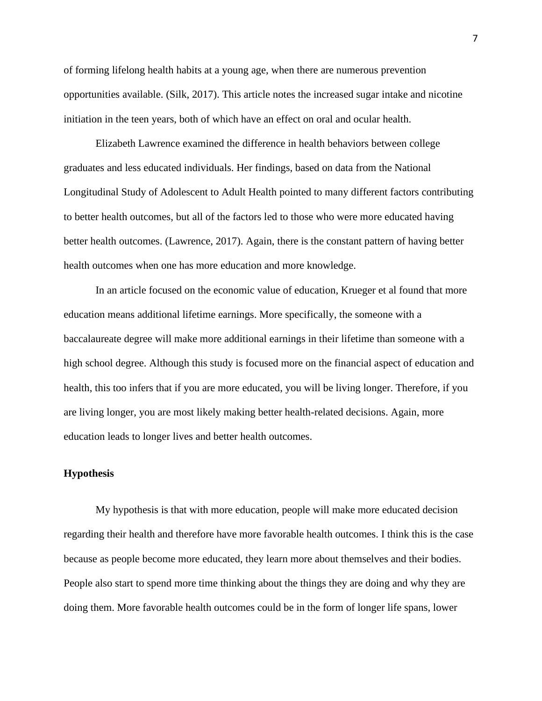of forming lifelong health habits at a young age, when there are numerous prevention opportunities available. (Silk, 2017). This article notes the increased sugar intake and nicotine initiation in the teen years, both of which have an effect on oral and ocular health.

Elizabeth Lawrence examined the difference in health behaviors between college graduates and less educated individuals. Her findings, based on data from the National Longitudinal Study of Adolescent to Adult Health pointed to many different factors contributing to better health outcomes, but all of the factors led to those who were more educated having better health outcomes. (Lawrence, 2017). Again, there is the constant pattern of having better health outcomes when one has more education and more knowledge.

In an article focused on the economic value of education, Krueger et al found that more education means additional lifetime earnings. More specifically, the someone with a baccalaureate degree will make more additional earnings in their lifetime than someone with a high school degree. Although this study is focused more on the financial aspect of education and health, this too infers that if you are more educated, you will be living longer. Therefore, if you are living longer, you are most likely making better health-related decisions. Again, more education leads to longer lives and better health outcomes.

## **Hypothesis**

My hypothesis is that with more education, people will make more educated decision regarding their health and therefore have more favorable health outcomes. I think this is the case because as people become more educated, they learn more about themselves and their bodies. People also start to spend more time thinking about the things they are doing and why they are doing them. More favorable health outcomes could be in the form of longer life spans, lower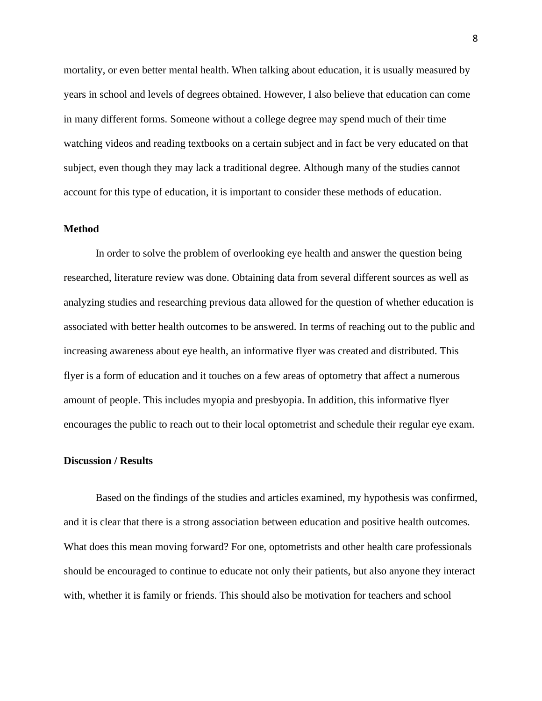mortality, or even better mental health. When talking about education, it is usually measured by years in school and levels of degrees obtained. However, I also believe that education can come in many different forms. Someone without a college degree may spend much of their time watching videos and reading textbooks on a certain subject and in fact be very educated on that subject, even though they may lack a traditional degree. Although many of the studies cannot account for this type of education, it is important to consider these methods of education.

#### **Method**

In order to solve the problem of overlooking eye health and answer the question being researched, literature review was done. Obtaining data from several different sources as well as analyzing studies and researching previous data allowed for the question of whether education is associated with better health outcomes to be answered. In terms of reaching out to the public and increasing awareness about eye health, an informative flyer was created and distributed. This flyer is a form of education and it touches on a few areas of optometry that affect a numerous amount of people. This includes myopia and presbyopia. In addition, this informative flyer encourages the public to reach out to their local optometrist and schedule their regular eye exam.

#### **Discussion / Results**

Based on the findings of the studies and articles examined, my hypothesis was confirmed, and it is clear that there is a strong association between education and positive health outcomes. What does this mean moving forward? For one, optometrists and other health care professionals should be encouraged to continue to educate not only their patients, but also anyone they interact with, whether it is family or friends. This should also be motivation for teachers and school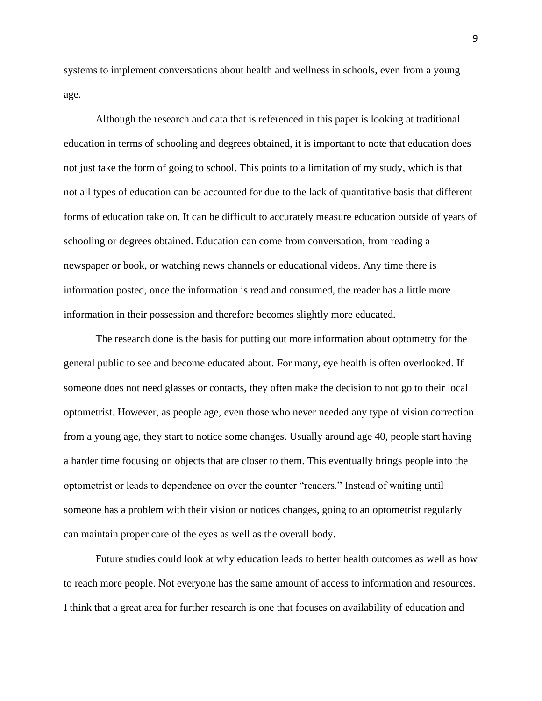systems to implement conversations about health and wellness in schools, even from a young age.

Although the research and data that is referenced in this paper is looking at traditional education in terms of schooling and degrees obtained, it is important to note that education does not just take the form of going to school. This points to a limitation of my study, which is that not all types of education can be accounted for due to the lack of quantitative basis that different forms of education take on. It can be difficult to accurately measure education outside of years of schooling or degrees obtained. Education can come from conversation, from reading a newspaper or book, or watching news channels or educational videos. Any time there is information posted, once the information is read and consumed, the reader has a little more information in their possession and therefore becomes slightly more educated.

The research done is the basis for putting out more information about optometry for the general public to see and become educated about. For many, eye health is often overlooked. If someone does not need glasses or contacts, they often make the decision to not go to their local optometrist. However, as people age, even those who never needed any type of vision correction from a young age, they start to notice some changes. Usually around age 40, people start having a harder time focusing on objects that are closer to them. This eventually brings people into the optometrist or leads to dependence on over the counter "readers." Instead of waiting until someone has a problem with their vision or notices changes, going to an optometrist regularly can maintain proper care of the eyes as well as the overall body.

Future studies could look at why education leads to better health outcomes as well as how to reach more people. Not everyone has the same amount of access to information and resources. I think that a great area for further research is one that focuses on availability of education and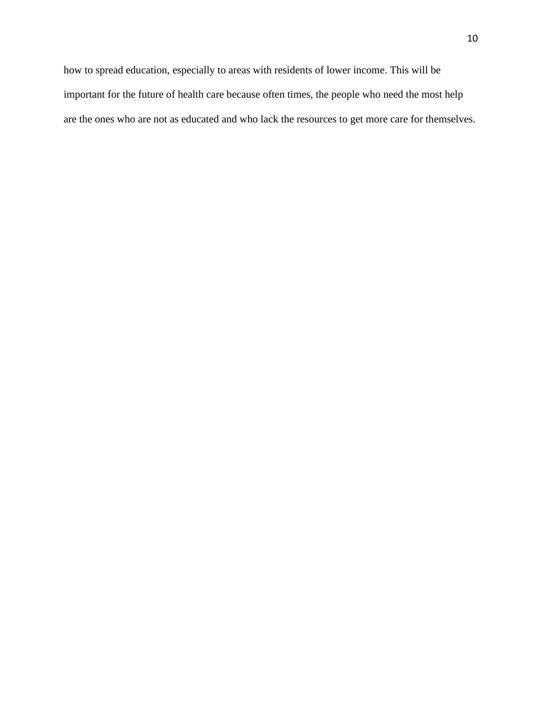how to spread education, especially to areas with residents of lower income. This will be important for the future of health care because often times, the people who need the most help are the ones who are not as educated and who lack the resources to get more care for themselves.